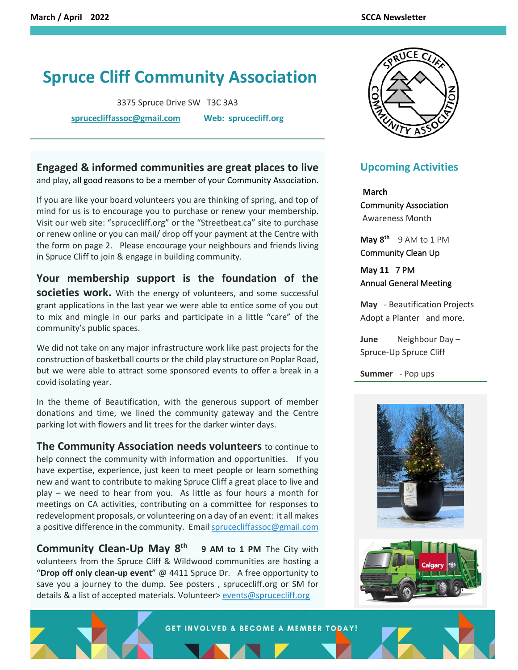## **Spruce Cliff Community Association**

3375 Spruce Drive SW T3C 3A3

**[sprucecliffassoc@gmail.com](mailto:sprucecliffassoc@gmail.com) Web: sprucecliff.org**

## **Engaged & informed communities are great places to live** and play, all good reasons to be a member of your Community Association.

If you are like your board volunteers you are thinking of spring, and top of mind for us is to encourage you to purchase or renew your membership. Visit our web site: "sprucecliff.org" or the "Streetbeat.ca" site to purchase or renew online or you can mail/ drop off your payment at the Centre with the form on page 2. Please encourage your neighbours and friends living in Spruce Cliff to join & engage in building community.

**Your membership support is the foundation of the societies work.** With the energy of volunteers, and some successful grant applications in the last year we were able to entice some of you out to mix and mingle in our parks and participate in a little "care" of the community's public spaces.

We did not take on any major infrastructure work like past projects for the construction of basketball courts or the child play structure on Poplar Road, but we were able to attract some sponsored events to offer a break in a covid isolating year.

In the theme of Beautification, with the generous support of member donations and time, we lined the community gateway and the Centre parking lot with flowers and lit trees for the darker winter days.

**The Community Association needs volunteers** to continue to help connect the community with information and opportunities. If you have expertise, experience, just keen to meet people or learn something new and want to contribute to making Spruce Cliff a great place to live and play – we need to hear from you. As little as four hours a month for meetings on CA activities, contributing on a committee for responses to redevelopment proposals, or volunteering on a day of an event: it all makes a positive difference in the community. Email sprucecliffassoc@gmail.com

**Community Clean-Up May 8th 9 AM to 1 PM** The City with volunteers from the Spruce Cliff & Wildwood communities are hosting a "**Drop off only clean-up event**" @ 4411 Spruce Dr. A free opportunity to save you a journey to the dump. See posters , sprucecliff.org or SM for details & a list of accepted materials. Volunteer> [events@sprucecliff.org](mailto:events@sprucecliff.org)



## **Upcoming Activities**

 **March**  Community Association Awareness Month

**May 8th** 9 AM to 1 PM Community Clean Up

**May 11** 7 PM Annual General Meeting

**May** - Beautification Projects Adopt a Planter and more.

**June** Neighbour Day – Spruce-Up Spruce Cliff

**Summer** - Pop ups





GET INVOLVED & BECOME A MEMBER TODAY!